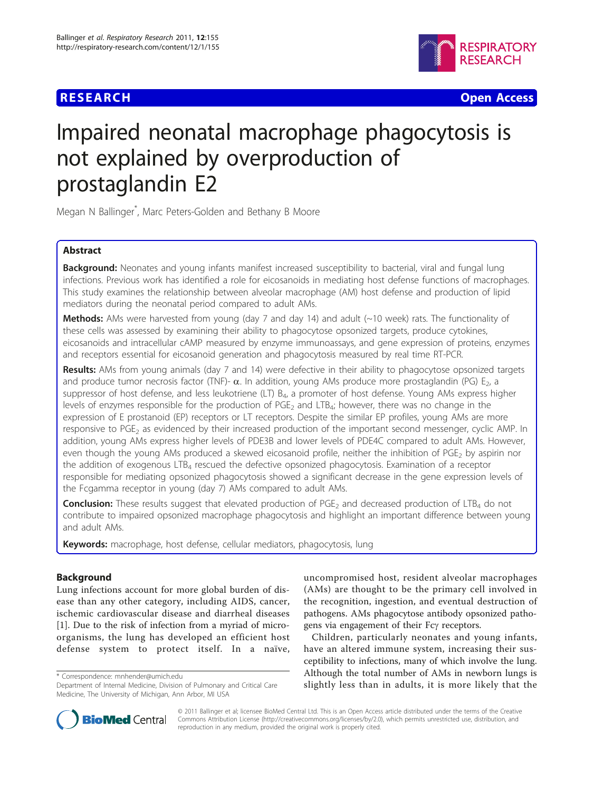

**RESEARCH CONTROL** CONTROL CONTROL CONTROL CONTROL CONTROL CONTROL CONTROL CONTROL CONTROL CONTROL CONTROL CONTROL CONTROL CONTROL CONTROL CONTROL CONTROL CONTROL CONTROL CONTROL CONTROL CONTROL CONTROL CONTROL CONTROL CON

# Impaired neonatal macrophage phagocytosis is not explained by overproduction of prostaglandin E2

Megan N Ballinger\* , Marc Peters-Golden and Bethany B Moore

# Abstract

**Background:** Neonates and young infants manifest increased susceptibility to bacterial, viral and fungal lung infections. Previous work has identified a role for eicosanoids in mediating host defense functions of macrophages. This study examines the relationship between alveolar macrophage (AM) host defense and production of lipid mediators during the neonatal period compared to adult AMs.

Methods: AMs were harvested from young (day 7 and day 14) and adult (~10 week) rats. The functionality of these cells was assessed by examining their ability to phagocytose opsonized targets, produce cytokines, eicosanoids and intracellular cAMP measured by enzyme immunoassays, and gene expression of proteins, enzymes and receptors essential for eicosanoid generation and phagocytosis measured by real time RT-PCR.

Results: AMs from young animals (day 7 and 14) were defective in their ability to phagocytose opsonized targets and produce tumor necrosis factor (TNF)- $\alpha$ . In addition, young AMs produce more prostaglandin (PG)  $E_2$ , a suppressor of host defense, and less leukotriene (LT)  $B_{4}$ , a promoter of host defense. Young AMs express higher levels of enzymes responsible for the production of PGE<sub>2</sub> and LTB<sub>4</sub>; however, there was no change in the expression of E prostanoid (EP) receptors or LT receptors. Despite the similar EP profiles, young AMs are more responsive to PGE<sub>2</sub> as evidenced by their increased production of the important second messenger, cyclic AMP. In addition, young AMs express higher levels of PDE3B and lower levels of PDE4C compared to adult AMs. However, even though the young AMs produced a skewed eicosanoid profile, neither the inhibition of PGE<sub>2</sub> by aspirin nor the addition of exogenous LTB4 rescued the defective opsonized phagocytosis. Examination of a receptor responsible for mediating opsonized phagocytosis showed a significant decrease in the gene expression levels of the Fcgamma receptor in young (day 7) AMs compared to adult AMs.

**Conclusion:** These results suggest that elevated production of PGE<sub>2</sub> and decreased production of LTB<sub>4</sub> do not contribute to impaired opsonized macrophage phagocytosis and highlight an important difference between young and adult AMs.

Keywords: macrophage, host defense, cellular mediators, phagocytosis, lung

# Background

Lung infections account for more global burden of disease than any other category, including AIDS, cancer, ischemic cardiovascular disease and diarrheal diseases [[1\]](#page-7-0). Due to the risk of infection from a myriad of microorganisms, the lung has developed an efficient host defense system to protect itself. In a naïve,

\* Correspondence: [mnhender@umich.edu](mailto:mnhender@umich.edu)

uncompromised host, resident alveolar macrophages (AMs) are thought to be the primary cell involved in the recognition, ingestion, and eventual destruction of pathogens. AMs phagocytose antibody opsonized pathogens via engagement of their Fcy receptors.

Children, particularly neonates and young infants, have an altered immune system, increasing their susceptibility to infections, many of which involve the lung. Although the total number of AMs in newborn lungs is slightly less than in adults, it is more likely that the



© 2011 Ballinger et al; licensee BioMed Central Ltd. This is an Open Access article distributed under the terms of the Creative Commons Attribution License [\(http://creativecommons.org/licenses/by/2.0](http://creativecommons.org/licenses/by/2.0)), which permits unrestricted use, distribution, and reproduction in any medium, provided the original work is properly cited.

Department of Internal Medicine, Division of Pulmonary and Critical Care Medicine, The University of Michigan, Ann Arbor, MI USA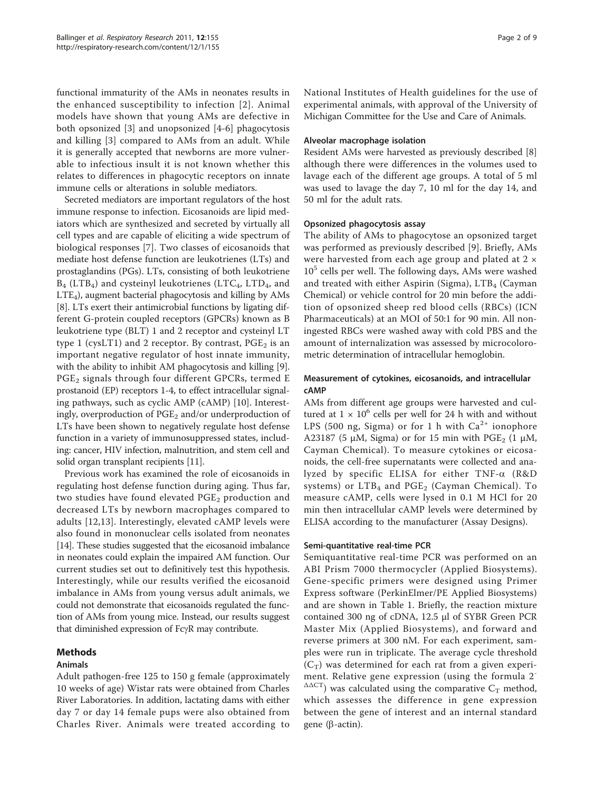functional immaturity of the AMs in neonates results in the enhanced susceptibility to infection [[2](#page-7-0)]. Animal models have shown that young AMs are defective in both opsonized [[3\]](#page-7-0) and unopsonized [\[4](#page-7-0)-[6](#page-7-0)] phagocytosis and killing [[3\]](#page-7-0) compared to AMs from an adult. While it is generally accepted that newborns are more vulnerable to infectious insult it is not known whether this relates to differences in phagocytic receptors on innate immune cells or alterations in soluble mediators.

Secreted mediators are important regulators of the host immune response to infection. Eicosanoids are lipid mediators which are synthesized and secreted by virtually all cell types and are capable of eliciting a wide spectrum of biological responses [\[7](#page-7-0)]. Two classes of eicosanoids that mediate host defense function are leukotrienes (LTs) and prostaglandins (PGs). LTs, consisting of both leukotriene B<sub>4</sub> (LTB<sub>4</sub>) and cysteinyl leukotrienes (LTC<sub>4</sub>, LTD<sub>4</sub>, and LTE4), augment bacterial phagocytosis and killing by AMs [[8\]](#page-7-0). LTs exert their antimicrobial functions by ligating different G-protein coupled receptors (GPCRs) known as B leukotriene type (BLT) 1 and 2 receptor and cysteinyl LT type 1 (cysLT1) and 2 receptor. By contrast,  $PGE_2$  is an important negative regulator of host innate immunity, with the ability to inhibit AM phagocytosis and killing [\[9](#page-7-0)].  $PGE<sub>2</sub>$  signals through four different GPCRs, termed E prostanoid (EP) receptors 1-4, to effect intracellular signaling pathways, such as cyclic AMP (cAMP) [\[10](#page-7-0)]. Interestingly, overproduction of PGE<sub>2</sub> and/or underproduction of LTs have been shown to negatively regulate host defense function in a variety of immunosuppressed states, including: cancer, HIV infection, malnutrition, and stem cell and solid organ transplant recipients [\[11\]](#page-7-0).

Previous work has examined the role of eicosanoids in regulating host defense function during aging. Thus far, two studies have found elevated  $PGE_2$  production and decreased LTs by newborn macrophages compared to adults [\[12](#page-7-0),[13\]](#page-7-0). Interestingly, elevated cAMP levels were also found in mononuclear cells isolated from neonates [[14](#page-7-0)]. These studies suggested that the eicosanoid imbalance in neonates could explain the impaired AM function. Our current studies set out to definitively test this hypothesis. Interestingly, while our results verified the eicosanoid imbalance in AMs from young versus adult animals, we could not demonstrate that eicosanoids regulated the function of AMs from young mice. Instead, our results suggest that diminished expression of  $Fc\gamma R$  may contribute.

#### Methods

#### Animals

Adult pathogen-free 125 to 150 g female (approximately 10 weeks of age) Wistar rats were obtained from Charles River Laboratories. In addition, lactating dams with either day 7 or day 14 female pups were also obtained from Charles River. Animals were treated according to National Institutes of Health guidelines for the use of experimental animals, with approval of the University of Michigan Committee for the Use and Care of Animals.

#### Alveolar macrophage isolation

Resident AMs were harvested as previously described [[8](#page-7-0)] although there were differences in the volumes used to lavage each of the different age groups. A total of 5 ml was used to lavage the day 7, 10 ml for the day 14, and 50 ml for the adult rats.

## Opsonized phagocytosis assay

The ability of AMs to phagocytose an opsonized target was performed as previously described [[9\]](#page-7-0). Briefly, AMs were harvested from each age group and plated at 2 ×  $10<sup>5</sup>$  cells per well. The following days, AMs were washed and treated with either Aspirin (Sigma),  $LTB<sub>4</sub>$  (Cayman Chemical) or vehicle control for 20 min before the addition of opsonized sheep red blood cells (RBCs) (ICN Pharmaceuticals) at an MOI of 50:1 for 90 min. All noningested RBCs were washed away with cold PBS and the amount of internalization was assessed by microcolorometric determination of intracellular hemoglobin.

# Measurement of cytokines, eicosanoids, and intracellular cAMP

AMs from different age groups were harvested and cultured at  $1 \times 10^6$  cells per well for 24 h with and without LPS (500 ng, Sigma) or for 1 h with  $Ca^{2+}$  ionophore A23187 (5 μM, Sigma) or for 15 min with PGE<sub>2</sub> (1 μM, Cayman Chemical). To measure cytokines or eicosanoids, the cell-free supernatants were collected and analyzed by specific ELISA for either  $TNF-\alpha$  (R&D systems) or  $LTB<sub>4</sub>$  and  $PGE<sub>2</sub>$  (Cayman Chemical). To measure cAMP, cells were lysed in 0.1 M HCl for 20 min then intracellular cAMP levels were determined by ELISA according to the manufacturer (Assay Designs).

# Semi-quantitative real-time PCR

Semiquantitative real-time PCR was performed on an ABI Prism 7000 thermocycler (Applied Biosystems). Gene-specific primers were designed using Primer Express software (PerkinElmer/PE Applied Biosystems) and are shown in Table [1.](#page-2-0) Briefly, the reaction mixture contained 300 ng of cDNA, 12.5 μl of SYBR Green PCR Master Mix (Applied Biosystems), and forward and reverse primers at 300 nM. For each experiment, samples were run in triplicate. The average cycle threshold  $(C_T)$  was determined for each rat from a given experiment. Relative gene expression (using the formula 2-  $\triangle$  $\triangle$ CT) was calculated using the comparative C<sub>T</sub> method, which assesses the difference in gene expression between the gene of interest and an internal standard gene ( $\beta$ -actin).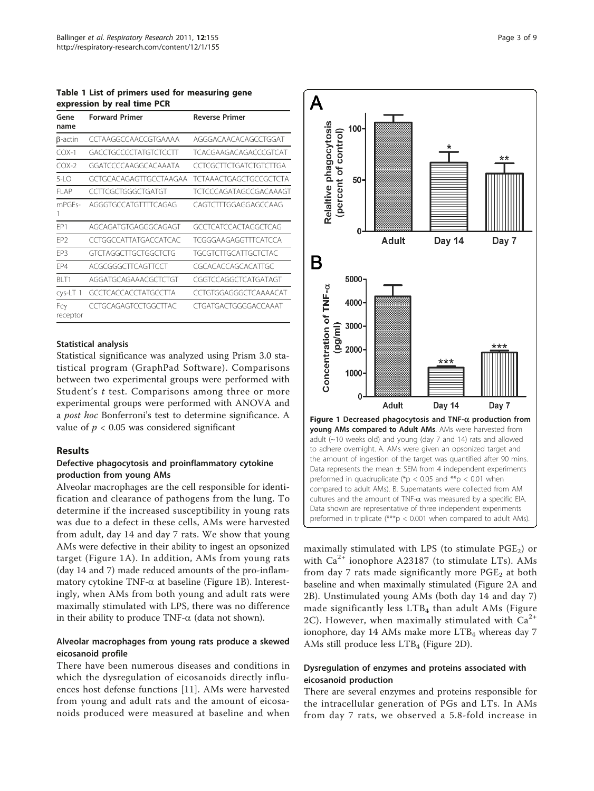<span id="page-2-0"></span>Table 1 List of primers used for measuring gene expression by real time PCR

| Gene<br>name    | <b>Forward Primer</b>  | <b>Reverse Primer</b>         |
|-----------------|------------------------|-------------------------------|
| $\beta$ -actin  | CCTAAGGCCAACCGTGAAAA   | AGGGACAACACAGCCTGGAT          |
| $COX-1$         | GACCTGCCCCTATGTCTCCTT  | TCACGAAGACAGACCCGTCAT         |
| $COX-2$         | GGATCCCCAAGGCACAAATA   | CCTCGCTTCTGATCTGTCTTGA        |
| $5-LO$          | GCTGCACAGAGTTGCCTAAGAA | <b>TCTAAACTGAGCTGCCGCTCTA</b> |
| FI AP           | CCTTCGCTGGGCTGATGT     | <b>TCTCCCAGATAGCCGACAAAGT</b> |
| mPGFs-<br>1     | AGGGTGCCATGTTTTCAGAG   | CAGTCTTTGGAGGAGCCAAG          |
| FP1             | AGCAGATGTGAGGGCAGAGT   | GCCTCATCCACTAGGCTCAG          |
| EP <sub>2</sub> | CCTGGCCATTATGACCATCAC  | <b>TCGGGAAGAGGTTTCATCCA</b>   |
| EP3             | GTCTAGGCTTGCTGGCTCTG   | TGCGTCTTGCATTGCTCTAC          |
| FP4             | ACGCGGGCTTCAGTTCCT     | CGCACACCAGCACATTGC            |
| BI T1           | AGGATGCAGAAACGCTCTGT   | CGGTCCAGGCTCATGATAGT          |
| cys-LT 1        | GCCTCACCACCTATGCCTTA   | CCTGTGGAGGGCTCAAAACAT         |
| Fcγ<br>receptor | CCTGCAGAGTCCTGGCTTAC   | CTGATGACTGGGGACCAAAT          |

#### Statistical analysis

Statistical significance was analyzed using Prism 3.0 statistical program (GraphPad Software). Comparisons between two experimental groups were performed with Student's t test. Comparisons among three or more experimental groups were performed with ANOVA and a post hoc Bonferroni's test to determine significance. A value of  $p < 0.05$  was considered significant

#### Results

#### Defective phagocytosis and proinflammatory cytokine production from young AMs

Alveolar macrophages are the cell responsible for identification and clearance of pathogens from the lung. To determine if the increased susceptibility in young rats was due to a defect in these cells, AMs were harvested from adult, day 14 and day 7 rats. We show that young AMs were defective in their ability to ingest an opsonized target (Figure 1A). In addition, AMs from young rats (day 14 and 7) made reduced amounts of the pro-inflammatory cytokine TNF- $\alpha$  at baseline (Figure 1B). Interestingly, when AMs from both young and adult rats were maximally stimulated with LPS, there was no difference in their ability to produce TNF- $\alpha$  (data not shown).

#### Alveolar macrophages from young rats produce a skewed eicosanoid profile

There have been numerous diseases and conditions in which the dysregulation of eicosanoids directly influences host defense functions [[11\]](#page-7-0). AMs were harvested from young and adult rats and the amount of eicosanoids produced were measured at baseline and when



maximally stimulated with LPS (to stimulate  $PGE_2$ ) or with  $Ca^{2+}$  ionophore A23187 (to stimulate LTs). AMs from day 7 rats made significantly more  $PGE<sub>2</sub>$  at both baseline and when maximally stimulated (Figure [2A](#page-3-0) and [2B\)](#page-3-0). Unstimulated young AMs (both day 14 and day 7) made significantly less  $LTB<sub>4</sub>$  than adult AMs (Figure [2C\)](#page-3-0). However, when maximally stimulated with  $Ca^{2+}$ ionophore, day 14 AMs make more  $LTB<sub>4</sub>$  whereas day 7 AMs still produce less LTB<sub>4</sub> (Figure [2D](#page-3-0)).

# Dysregulation of enzymes and proteins associated with eicosanoid production

There are several enzymes and proteins responsible for the intracellular generation of PGs and LTs. In AMs from day 7 rats, we observed a 5.8-fold increase in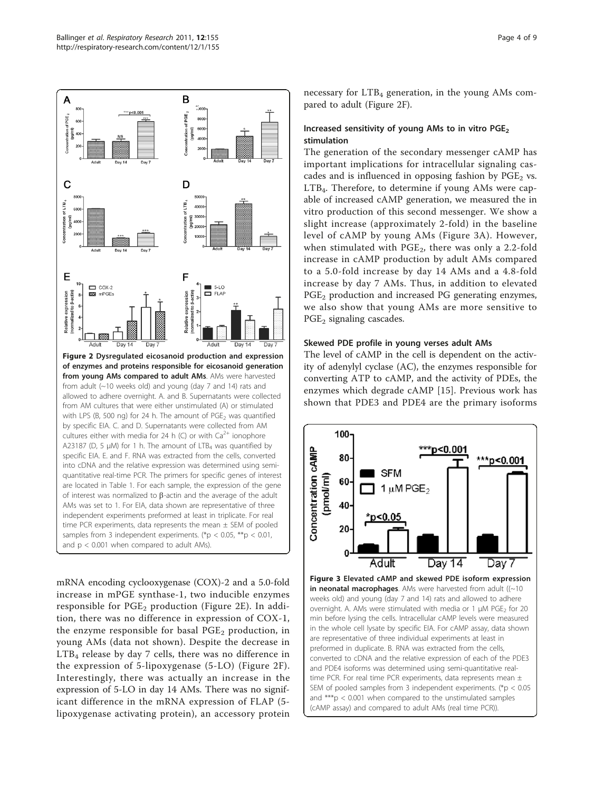<span id="page-3-0"></span>

of enzymes and proteins responsible for eicosanoid generation from young AMs compared to adult AMs. AMs were harvested from adult (~10 weeks old) and young (day 7 and 14) rats and allowed to adhere overnight. A. and B. Supernatants were collected from AM cultures that were either unstimulated (A) or stimulated with LPS (B, 500 ng) for 24 h. The amount of  $PGE<sub>2</sub>$  was quantified by specific EIA. C. and D. Supernatants were collected from AM cultures either with media for 24 h (C) or with  $Ca^{2+}$  ionophore A23187 (D, 5  $\mu$ M) for 1 h. The amount of LTB<sub>4</sub> was quantified by specific EIA. E. and F. RNA was extracted from the cells, converted into cDNA and the relative expression was determined using semiquantitative real-time PCR. The primers for specific genes of interest are located in Table 1. For each sample, the expression of the gene of interest was normalized to  $\beta$ -actin and the average of the adult AMs was set to 1. For EIA, data shown are representative of three independent experiments preformed at least in triplicate. For real time PCR experiments, data represents the mean  $\pm$  SEM of pooled samples from 3 independent experiments. (\*p < 0.05, \*\*p < 0.01, and  $p < 0.001$  when compared to adult AMs).

mRNA encoding cyclooxygenase (COX)-2 and a 5.0-fold increase in mPGE synthase-1, two inducible enzymes responsible for  $PGE_2$  production (Figure 2E). In addition, there was no difference in expression of COX-1, the enzyme responsible for basal  $PGE<sub>2</sub>$  production, in young AMs (data not shown). Despite the decrease in LTB4 release by day 7 cells, there was no difference in the expression of 5-lipoxygenase (5-LO) (Figure 2F). Interestingly, there was actually an increase in the expression of 5-LO in day 14 AMs. There was no significant difference in the mRNA expression of FLAP (5 lipoxygenase activating protein), an accessory protein necessary for  $LTB<sub>4</sub>$  generation, in the young AMs compared to adult (Figure 2F).

## Increased sensitivity of young AMs to in vitro  $PGE_2$ stimulation

The generation of the secondary messenger cAMP has important implications for intracellular signaling cascades and is influenced in opposing fashion by  $PGE<sub>2</sub>$  vs.  $LTB<sub>4</sub>$ . Therefore, to determine if young AMs were capable of increased cAMP generation, we measured the in vitro production of this second messenger. We show a slight increase (approximately 2-fold) in the baseline level of cAMP by young AMs (Figure 3A). However, when stimulated with  $PGE<sub>2</sub>$ , there was only a 2.2-fold increase in cAMP production by adult AMs compared to a 5.0-fold increase by day 14 AMs and a 4.8-fold increase by day 7 AMs. Thus, in addition to elevated  $PGE<sub>2</sub>$  production and increased PG generating enzymes, we also show that young AMs are more sensitive to  $PGE<sub>2</sub>$  signaling cascades.

#### Skewed PDE profile in young verses adult AMs

The level of cAMP in the cell is dependent on the activity of adenylyl cyclase (AC), the enzymes responsible for converting ATP to cAMP, and the activity of PDEs, the enzymes which degrade cAMP [[15\]](#page-7-0). Previous work has shown that PDE3 and PDE4 are the primary isoforms

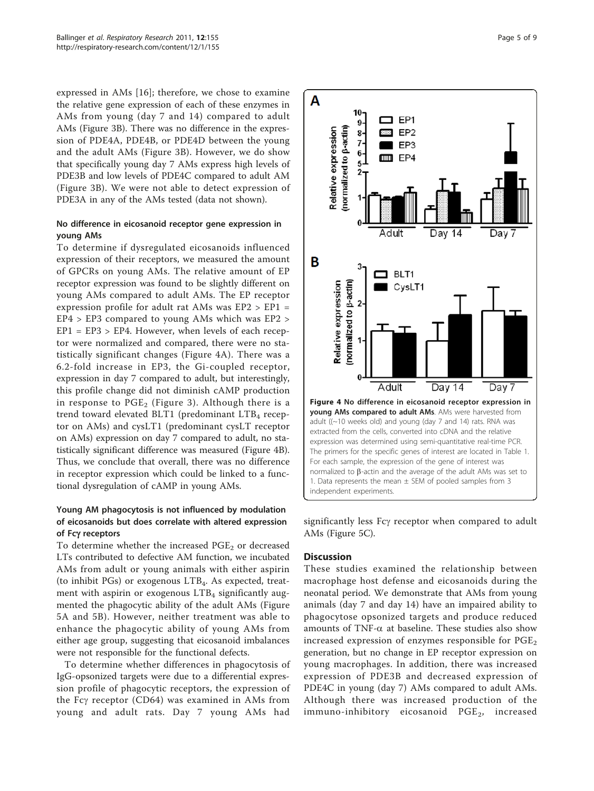expressed in AMs [\[16](#page-7-0)]; therefore, we chose to examine the relative gene expression of each of these enzymes in AMs from young (day 7 and 14) compared to adult AMs (Figure [3B](#page-3-0)). There was no difference in the expression of PDE4A, PDE4B, or PDE4D between the young and the adult AMs (Figure [3B\)](#page-3-0). However, we do show that specifically young day 7 AMs express high levels of PDE3B and low levels of PDE4C compared to adult AM (Figure [3B\)](#page-3-0). We were not able to detect expression of PDE3A in any of the AMs tested (data not shown).

#### No difference in eicosanoid receptor gene expression in young AMs

To determine if dysregulated eicosanoids influenced expression of their receptors, we measured the amount of GPCRs on young AMs. The relative amount of EP receptor expression was found to be slightly different on young AMs compared to adult AMs. The EP receptor expression profile for adult rat AMs was EP2 > EP1 = EP4 > EP3 compared to young AMs which was EP2 >  $EP1 = EP3 > EP4$ . However, when levels of each receptor were normalized and compared, there were no statistically significant changes (Figure 4A). There was a 6.2-fold increase in EP3, the Gi-coupled receptor, expression in day 7 compared to adult, but interestingly, this profile change did not diminish cAMP production in response to  $PGE_2$  (Figure [3](#page-3-0)). Although there is a trend toward elevated BLT1 (predominant LTB<sub>4</sub> receptor on AMs) and cysLT1 (predominant cysLT receptor on AMs) expression on day 7 compared to adult, no statistically significant difference was measured (Figure 4B). Thus, we conclude that overall, there was no difference in receptor expression which could be linked to a functional dysregulation of cAMP in young AMs.

# Young AM phagocytosis is not influenced by modulation of eicosanoids but does correlate with altered expression of Fcγ receptors

To determine whether the increased  $PGE<sub>2</sub>$  or decreased LTs contributed to defective AM function, we incubated AMs from adult or young animals with either aspirin (to inhibit PGs) or exogenous LTB4. As expected, treatment with aspirin or exogenous  $LTB<sub>4</sub>$  significantly augmented the phagocytic ability of the adult AMs (Figure [5A](#page-5-0) and [5B](#page-5-0)). However, neither treatment was able to enhance the phagocytic ability of young AMs from either age group, suggesting that eicosanoid imbalances were not responsible for the functional defects.

To determine whether differences in phagocytosis of IgG-opsonized targets were due to a differential expression profile of phagocytic receptors, the expression of the Fcg receptor (CD64) was examined in AMs from young and adult rats. Day 7 young AMs had



significantly less Fcy receptor when compared to adult AMs (Figure [5C](#page-5-0)).

#### **Discussion**

These studies examined the relationship between macrophage host defense and eicosanoids during the neonatal period. We demonstrate that AMs from young animals (day 7 and day 14) have an impaired ability to phagocytose opsonized targets and produce reduced amounts of TNF- $\alpha$  at baseline. These studies also show increased expression of enzymes responsible for  $PGE<sub>2</sub>$ generation, but no change in EP receptor expression on young macrophages. In addition, there was increased expression of PDE3B and decreased expression of PDE4C in young (day 7) AMs compared to adult AMs. Although there was increased production of the immuno-inhibitory eicosanoid PGE<sub>2</sub>, increased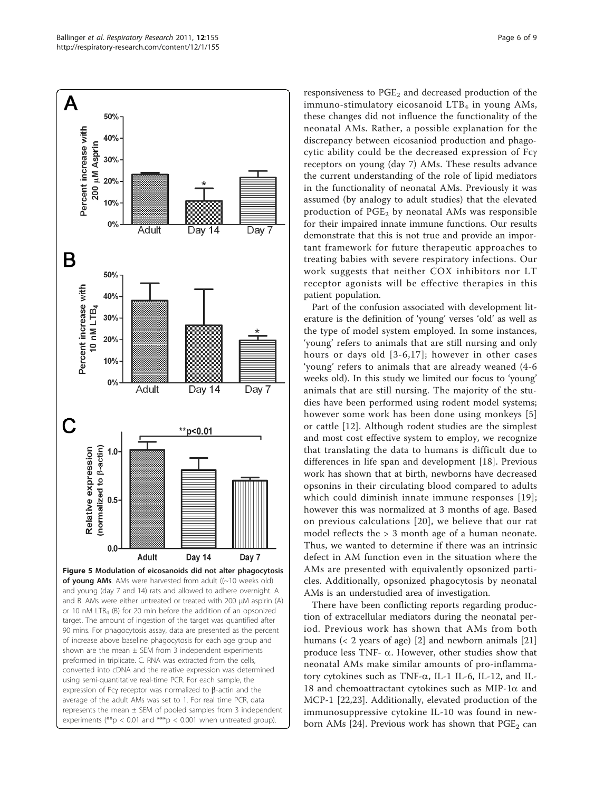<span id="page-5-0"></span>

responsiveness to  $PGE<sub>2</sub>$  and decreased production of the immuno-stimulatory eicosanoid  $LTB<sub>4</sub>$  in young AMs, these changes did not influence the functionality of the neonatal AMs. Rather, a possible explanation for the discrepancy between eicosaniod production and phagocytic ability could be the decreased expression of Fcg receptors on young (day 7) AMs. These results advance the current understanding of the role of lipid mediators in the functionality of neonatal AMs. Previously it was assumed (by analogy to adult studies) that the elevated production of  $PGE<sub>2</sub>$  by neonatal AMs was responsible for their impaired innate immune functions. Our results demonstrate that this is not true and provide an important framework for future therapeutic approaches to treating babies with severe respiratory infections. Our work suggests that neither COX inhibitors nor LT receptor agonists will be effective therapies in this patient population.

Part of the confusion associated with development literature is the definition of 'young' verses 'old' as well as the type of model system employed. In some instances, 'young' refers to animals that are still nursing and only hours or days old [[3-6](#page-7-0),[17\]](#page-7-0); however in other cases 'young' refers to animals that are already weaned (4-6 weeks old). In this study we limited our focus to 'young' animals that are still nursing. The majority of the studies have been performed using rodent model systems; however some work has been done using monkeys [\[5](#page-7-0)] or cattle [[12\]](#page-7-0). Although rodent studies are the simplest and most cost effective system to employ, we recognize that translating the data to humans is difficult due to differences in life span and development [[18\]](#page-7-0). Previous work has shown that at birth, newborns have decreased opsonins in their circulating blood compared to adults which could diminish innate immune responses [[19\]](#page-7-0); however this was normalized at 3 months of age. Based on previous calculations [[20\]](#page-7-0), we believe that our rat model reflects the > 3 month age of a human neonate. Thus, we wanted to determine if there was an intrinsic defect in AM function even in the situation where the AMs are presented with equivalently opsonized particles. Additionally, opsonized phagocytosis by neonatal AMs is an understudied area of investigation.

There have been conflicting reports regarding production of extracellular mediators during the neonatal period. Previous work has shown that AMs from both humans (< 2 years of age) [[2\]](#page-7-0) and newborn animals [[21](#page-7-0)] produce less TNF- $\alpha$ . However, other studies show that neonatal AMs make similar amounts of pro-inflammatory cytokines such as TNF- $\alpha$ , IL-1 IL-6, IL-12, and IL-18 and chemoattractant cytokines such as MIP-1 $\alpha$  and MCP-1 [\[22,23](#page-7-0)]. Additionally, elevated production of the immunosuppressive cytokine IL-10 was found in new-born AMs [\[24](#page-7-0)]. Previous work has shown that  $PGE_2$  can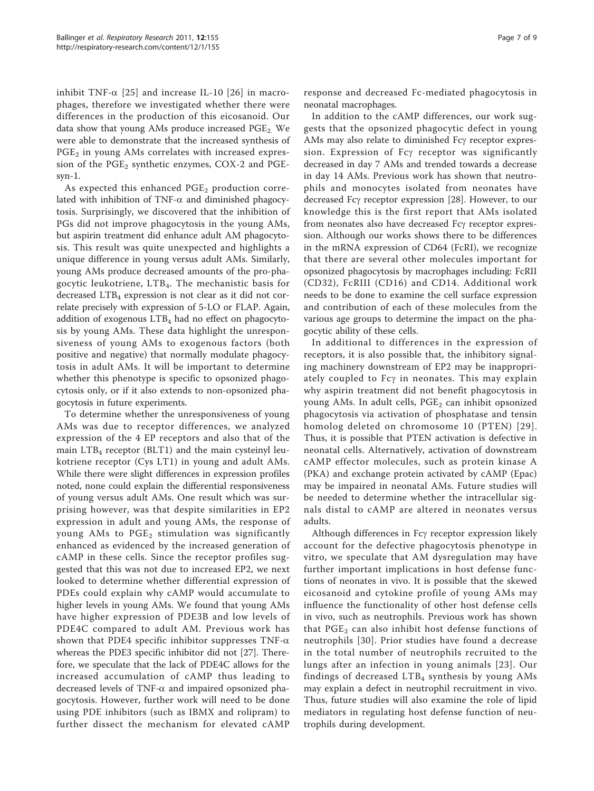inhibit TNF- $\alpha$  [[25\]](#page-7-0) and increase IL-10 [[26](#page-7-0)] in macrophages, therefore we investigated whether there were differences in the production of this eicosanoid. Our data show that young AMs produce increased  $PGE_2$ . We were able to demonstrate that the increased synthesis of  $PGE<sub>2</sub>$  in young AMs correlates with increased expression of the  $PGE_2$  synthetic enzymes, COX-2 and PGEsyn-1.

As expected this enhanced  $PGE<sub>2</sub>$  production correlated with inhibition of TNF- $\alpha$  and diminished phagocytosis. Surprisingly, we discovered that the inhibition of PGs did not improve phagocytosis in the young AMs, but aspirin treatment did enhance adult AM phagocytosis. This result was quite unexpected and highlights a unique difference in young versus adult AMs. Similarly, young AMs produce decreased amounts of the pro-phagocytic leukotriene, LTB4. The mechanistic basis for decreased  $LTB<sub>4</sub>$  expression is not clear as it did not correlate precisely with expression of 5-LO or FLAP. Again, addition of exogenous  $LTB<sub>4</sub>$  had no effect on phagocytosis by young AMs. These data highlight the unresponsiveness of young AMs to exogenous factors (both positive and negative) that normally modulate phagocytosis in adult AMs. It will be important to determine whether this phenotype is specific to opsonized phagocytosis only, or if it also extends to non-opsonized phagocytosis in future experiments.

To determine whether the unresponsiveness of young AMs was due to receptor differences, we analyzed expression of the 4 EP receptors and also that of the main  $LTB<sub>4</sub>$  receptor (BLT1) and the main cysteinyl leukotriene receptor (Cys LT1) in young and adult AMs. While there were slight differences in expression profiles noted, none could explain the differential responsiveness of young versus adult AMs. One result which was surprising however, was that despite similarities in EP2 expression in adult and young AMs, the response of young AMs to PGE<sub>2</sub> stimulation was significantly enhanced as evidenced by the increased generation of cAMP in these cells. Since the receptor profiles suggested that this was not due to increased EP2, we next looked to determine whether differential expression of PDEs could explain why cAMP would accumulate to higher levels in young AMs. We found that young AMs have higher expression of PDE3B and low levels of PDE4C compared to adult AM. Previous work has shown that PDE4 specific inhibitor suppresses  $TNF-\alpha$ whereas the PDE3 specific inhibitor did not [\[27\]](#page-7-0). Therefore, we speculate that the lack of PDE4C allows for the increased accumulation of cAMP thus leading to decreased levels of TNF- $\alpha$  and impaired opsonized phagocytosis. However, further work will need to be done using PDE inhibitors (such as IBMX and rolipram) to further dissect the mechanism for elevated cAMP response and decreased Fc-mediated phagocytosis in neonatal macrophages.

In addition to the cAMP differences, our work suggests that the opsonized phagocytic defect in young AMs may also relate to diminished Fcy receptor expression. Expression of Fcy receptor was significantly decreased in day 7 AMs and trended towards a decrease in day 14 AMs. Previous work has shown that neutrophils and monocytes isolated from neonates have decreased Fcy receptor expression [\[28](#page-7-0)]. However, to our knowledge this is the first report that AMs isolated from neonates also have decreased Fcy receptor expression. Although our works shows there to be differences in the mRNA expression of CD64 (FcRI), we recognize that there are several other molecules important for opsonized phagocytosis by macrophages including: FcRII (CD32), FcRIII (CD16) and CD14. Additional work needs to be done to examine the cell surface expression and contribution of each of these molecules from the various age groups to determine the impact on the phagocytic ability of these cells.

In additional to differences in the expression of receptors, it is also possible that, the inhibitory signaling machinery downstream of EP2 may be inappropriately coupled to  $Fc\gamma$  in neonates. This may explain why aspirin treatment did not benefit phagocytosis in young AMs. In adult cells,  $PGE<sub>2</sub>$  can inhibit opsonized phagocytosis via activation of phosphatase and tensin homolog deleted on chromosome 10 (PTEN) [[29\]](#page-7-0). Thus, it is possible that PTEN activation is defective in neonatal cells. Alternatively, activation of downstream cAMP effector molecules, such as protein kinase A (PKA) and exchange protein activated by cAMP (Epac) may be impaired in neonatal AMs. Future studies will be needed to determine whether the intracellular signals distal to cAMP are altered in neonates versus adults.

Although differences in Fcy receptor expression likely account for the defective phagocytosis phenotype in vitro, we speculate that AM dysregulation may have further important implications in host defense functions of neonates in vivo. It is possible that the skewed eicosanoid and cytokine profile of young AMs may influence the functionality of other host defense cells in vivo, such as neutrophils. Previous work has shown that  $PGE<sub>2</sub>$  can also inhibit host defense functions of neutrophils [[30](#page-8-0)]. Prior studies have found a decrease in the total number of neutrophils recruited to the lungs after an infection in young animals [[23](#page-7-0)]. Our findings of decreased  $LTB<sub>4</sub>$  synthesis by young AMs may explain a defect in neutrophil recruitment in vivo. Thus, future studies will also examine the role of lipid mediators in regulating host defense function of neutrophils during development.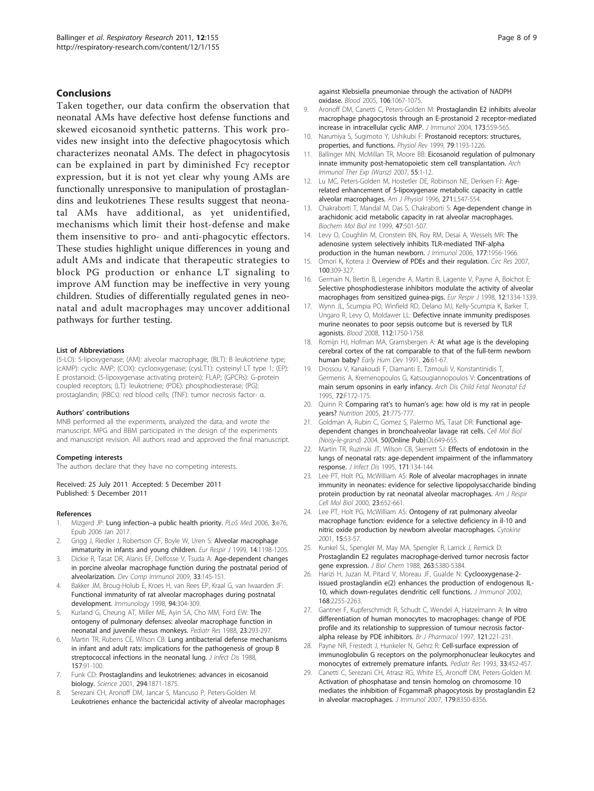#### <span id="page-7-0"></span>Conclusions

Taken together, our data confirm the observation that neonatal AMs have defective host defense functions and skewed eicosanoid synthetic patterns. This work provides new insight into the defective phagocytosis which characterizes neonatal AMs. The defect in phagocytosis can be explained in part by diminished Fcg receptor expression, but it is not yet clear why young AMs are functionally unresponsive to manipulation of prostaglandins and leukotrienes These results suggest that neonatal AMs have additional, as yet unidentified, mechanisms which limit their host-defense and make them insensitive to pro- and anti-phagocytic effectors. These studies highlight unique differences in young and adult AMs and indicate that therapeutic strategies to block PG production or enhance LT signaling to improve AM function may be ineffective in very young children. Studies of differentially regulated genes in neonatal and adult macrophages may uncover additional pathways for further testing.

#### List of Abbreviations

(5-LO): 5-lipoxygenase; (AM): alveolar macrophage; (BLT): B leukotriene type; (cAMP): cyclic AMP; (COX): cyclooxygenase; (cysLT1): cysteinyl LT type 1; (EP): E prostanoid; (5-lipoxygenase activating protein): FLAP; (GPCRs): G-protein coupled receptors; (LT): leukotriene; (PDE): phosphodiesterase; (PG): prostaglandin; (RBCs): red blood cells; (TNF): tumor necrosis factor- α.

#### Authors' contributions

MNB performed all the experiments, analyzed the data, and wrote the manuscript. MPG and BBM participated in the design of the experiments and manuscript revision. All authors read and approved the final manuscript.

#### Competing interests

The authors declare that they have no competing interests.

Received: 25 July 2011 Accepted: 5 December 2011 Published: 5 December 2011

#### References

- 1. Mizgerd JP: Lung infection-[a public health priority.](http://www.ncbi.nlm.nih.gov/pubmed/16401173?dopt=Abstract) PLoS Med 2006, 3:e76, Epub 2006 Jan 2017.
- 2. Grigg J, Riedler J, Robertson CF, Boyle W, Uren S: [Alveolar macrophage](http://www.ncbi.nlm.nih.gov/pubmed/10596713?dopt=Abstract) [immaturity in infants and young children.](http://www.ncbi.nlm.nih.gov/pubmed/10596713?dopt=Abstract) Eur Respir J 1999, 14:1198-1205.
- 3. Dickie R, Tasat DR, Alanis EF, Delfosse V, Tsuda A: [Age-dependent changes](http://www.ncbi.nlm.nih.gov/pubmed/18775449?dopt=Abstract) [in porcine alveolar macrophage function during the postnatal period of](http://www.ncbi.nlm.nih.gov/pubmed/18775449?dopt=Abstract) [alveolarization.](http://www.ncbi.nlm.nih.gov/pubmed/18775449?dopt=Abstract) Dev Comp Immunol 2009, 33:145-151.
- 4. Bakker JM, Broug-Holub E, Kroes H, van Rees EP, Kraal G, van Iwaarden JF: [Functional immaturity of rat alveolar macrophages during postnatal](http://www.ncbi.nlm.nih.gov/pubmed/9767411?dopt=Abstract) [development.](http://www.ncbi.nlm.nih.gov/pubmed/9767411?dopt=Abstract) Immunology 1998, 94:304-309.
- 5. Kurland G, Cheung AT, Miller ME, Ayin SA, Cho MM, Ford EW: [The](http://www.ncbi.nlm.nih.gov/pubmed/3353176?dopt=Abstract) [ontogeny of pulmonary defenses: alveolar macrophage function in](http://www.ncbi.nlm.nih.gov/pubmed/3353176?dopt=Abstract) [neonatal and juvenile rhesus monkeys.](http://www.ncbi.nlm.nih.gov/pubmed/3353176?dopt=Abstract) Pediatr Res 1988, 23:293-297.
- Martin TR, Rubens CE, Wilson CB: [Lung antibacterial defense mechanisms](http://www.ncbi.nlm.nih.gov/pubmed/3275727?dopt=Abstract) [in infant and adult rats: implications for the pathogenesis of group B](http://www.ncbi.nlm.nih.gov/pubmed/3275727?dopt=Abstract) [streptococcal infections in the neonatal lung.](http://www.ncbi.nlm.nih.gov/pubmed/3275727?dopt=Abstract) J Infect Dis 1988, 157:91-100.
- 7. Funk CD: [Prostaglandins and leukotrienes: advances in eicosanoid](http://www.ncbi.nlm.nih.gov/pubmed/11729303?dopt=Abstract) [biology.](http://www.ncbi.nlm.nih.gov/pubmed/11729303?dopt=Abstract) Science 2001, 294:1871-1875.
- 8. Serezani CH, Aronoff DM, Jancar S, Mancuso P, Peters-Golden M: [Leukotrienes enhance the bactericidal activity of alveolar macrophages](http://www.ncbi.nlm.nih.gov/pubmed/15718414?dopt=Abstract)

[against Klebsiella pneumoniae through the activation of NADPH](http://www.ncbi.nlm.nih.gov/pubmed/15718414?dopt=Abstract) [oxidase.](http://www.ncbi.nlm.nih.gov/pubmed/15718414?dopt=Abstract) Blood 2005, 106:1067-1075.

- 9. Aronoff DM, Canetti C, Peters-Golden M: [Prostaglandin E2 inhibits alveolar](http://www.ncbi.nlm.nih.gov/pubmed/15210817?dopt=Abstract) [macrophage phagocytosis through an E-prostanoid 2 receptor-mediated](http://www.ncbi.nlm.nih.gov/pubmed/15210817?dopt=Abstract) [increase in intracellular cyclic AMP.](http://www.ncbi.nlm.nih.gov/pubmed/15210817?dopt=Abstract) J Immunol 2004, 173:559-565.
- 10. Narumiya S, Sugimoto Y, Ushikubi F: [Prostanoid receptors: structures,](http://www.ncbi.nlm.nih.gov/pubmed/10508233?dopt=Abstract) [properties, and functions.](http://www.ncbi.nlm.nih.gov/pubmed/10508233?dopt=Abstract) Physiol Rev 1999, 79:1193-1226.
- 11. Ballinger MN, McMillan TR, Moore BB: Eicosanoid regulation of pulmonary innate immunity post-hematopoietic stem cell transplantation. Arch Immunol Ther Exp (Warsz) 2007, 55:1-12.
- 12. Lu MC, Peters-Golden M, Hostetler DE, Robinson NE, Derksen FJ: [Age](http://www.ncbi.nlm.nih.gov/pubmed/8897901?dopt=Abstract)[related enhancement of 5-lipoxygenase metabolic capacity in cattle](http://www.ncbi.nlm.nih.gov/pubmed/8897901?dopt=Abstract) [alveolar macrophages.](http://www.ncbi.nlm.nih.gov/pubmed/8897901?dopt=Abstract) Am J Physiol 1996, 271:L547-554.
- 13. Chakraborti T, Mandal M, Das S, Chakraborti S: [Age-dependent change in](http://www.ncbi.nlm.nih.gov/pubmed/10204087?dopt=Abstract) [arachidonic acid metabolic capacity in rat alveolar macrophages.](http://www.ncbi.nlm.nih.gov/pubmed/10204087?dopt=Abstract) Biochem Mol Biol Int 1999, 47:501-507.
- 14. Levy O, Coughlin M, Cronstein BN, Roy RM, Desai A, Wessels MR: [The](http://www.ncbi.nlm.nih.gov/pubmed/16849509?dopt=Abstract) [adenosine system selectively inhibits TLR-mediated TNF-alpha](http://www.ncbi.nlm.nih.gov/pubmed/16849509?dopt=Abstract) [production in the human newborn.](http://www.ncbi.nlm.nih.gov/pubmed/16849509?dopt=Abstract) J Immunol 2006, 177:1956-1966.
- 15. Omori K, Kotera J: [Overview of PDEs and their regulation.](http://www.ncbi.nlm.nih.gov/pubmed/17307970?dopt=Abstract) Circ Res 2007, 100:309-327.
- 16. Germain N, Bertin B, Legendre A, Martin B, Lagente V, Payne A, Boichot E: [Selective phosphodiesterase inhibitors modulate the activity of alveolar](http://www.ncbi.nlm.nih.gov/pubmed/9877487?dopt=Abstract) [macrophages from sensitized guinea-pigs.](http://www.ncbi.nlm.nih.gov/pubmed/9877487?dopt=Abstract) Eur Respir J 1998, 12:1334-1339.
- 17. Wynn JL, Scumpia PO, Winfield RD, Delano MJ, Kelly-Scumpia K, Barker T, Ungaro R, Levy O, Moldawer LL: [Defective innate immunity predisposes](http://www.ncbi.nlm.nih.gov/pubmed/18591384?dopt=Abstract) [murine neonates to poor sepsis outcome but is reversed by TLR](http://www.ncbi.nlm.nih.gov/pubmed/18591384?dopt=Abstract) [agonists.](http://www.ncbi.nlm.nih.gov/pubmed/18591384?dopt=Abstract) Blood 2008, 112:1750-1758.
- 18. Romijn HJ, Hofman MA, Gramsbergen A: [At what age is the developing](http://www.ncbi.nlm.nih.gov/pubmed/1914989?dopt=Abstract) [cerebral cortex of the rat comparable to that of the full-term newborn](http://www.ncbi.nlm.nih.gov/pubmed/1914989?dopt=Abstract) [human baby?](http://www.ncbi.nlm.nih.gov/pubmed/1914989?dopt=Abstract) Early Hum Dev 1991, 26:61-67.
- 19. Drossou V, Kanakoudi F, Diamanti E, Tzimouli V, Konstantinidis T, Germenis A, Kremenopoulos G, Katsougiannopoulos V: [Concentrations of](http://www.ncbi.nlm.nih.gov/pubmed/7796232?dopt=Abstract) [main serum opsonins in early infancy.](http://www.ncbi.nlm.nih.gov/pubmed/7796232?dopt=Abstract) Arch Dis Child Fetal Neonatal Ed 1995, 72:F172-175.
- 20. Quinn R: Comparing rat's to human'[s age: how old is my rat in people](http://www.ncbi.nlm.nih.gov/pubmed/15925305?dopt=Abstract) [years?](http://www.ncbi.nlm.nih.gov/pubmed/15925305?dopt=Abstract) Nutrition 2005, 21:775-777.
- 21. Goldman A, Rubin C, Gomez S, Palermo MS, Tasat DR: Functional agedependent changes in bronchoalveolar lavage rat cells. Cell Mol Biol (Noisy-le-grand) 2004, 50(Online Pub):OL649-655.
- 22. Martin TR, Ruzinski JT, Wilson CB, Skerrett SJ: [Effects of endotoxin in the](http://www.ncbi.nlm.nih.gov/pubmed/7798654?dopt=Abstract) [lungs of neonatal rats: age-dependent impairment of the inflammatory](http://www.ncbi.nlm.nih.gov/pubmed/7798654?dopt=Abstract) [response.](http://www.ncbi.nlm.nih.gov/pubmed/7798654?dopt=Abstract) J Infect Dis 1995, 171:134-144.
- 23. Lee PT, Holt PG, McWilliam AS: [Role of alveolar macrophages in innate](http://www.ncbi.nlm.nih.gov/pubmed/11062144?dopt=Abstract) [immunity in neonates: evidence for selective lipopolysaccharide binding](http://www.ncbi.nlm.nih.gov/pubmed/11062144?dopt=Abstract) [protein production by rat neonatal alveolar macrophages.](http://www.ncbi.nlm.nih.gov/pubmed/11062144?dopt=Abstract) Am J Respir Cell Mol Biol 2000, 23:652-661.
- 24. Lee PT, Holt PG, McWilliam AS: [Ontogeny of rat pulmonary alveolar](http://www.ncbi.nlm.nih.gov/pubmed/11509009?dopt=Abstract) [macrophage function: evidence for a selective deficiency in il-10 and](http://www.ncbi.nlm.nih.gov/pubmed/11509009?dopt=Abstract) [nitric oxide production by newborn alveolar macrophages.](http://www.ncbi.nlm.nih.gov/pubmed/11509009?dopt=Abstract) Cytokine 2001, 15:53-57.
- 25. Kunkel SL, Spengler M, May MA, Spengler R, Larrick J, Remick D: [Prostaglandin E2 regulates macrophage-derived tumor necrosis factor](http://www.ncbi.nlm.nih.gov/pubmed/3162731?dopt=Abstract) [gene expression.](http://www.ncbi.nlm.nih.gov/pubmed/3162731?dopt=Abstract) J Biol Chem 1988, 263:5380-5384.
- 26. Harizi H, Juzan M, Pitard V, Moreau JF, Gualde N: [Cyclooxygenase-2](http://www.ncbi.nlm.nih.gov/pubmed/11859113?dopt=Abstract) [issued prostaglandin e\(2\) enhances the production of endogenous IL-](http://www.ncbi.nlm.nih.gov/pubmed/11859113?dopt=Abstract)[10, which down-regulates dendritic cell functions.](http://www.ncbi.nlm.nih.gov/pubmed/11859113?dopt=Abstract) J Immunol 2002, 168:2255-2263.
- 27. Gantner F, Kupferschmidt R, Schudt C, Wendel A, Hatzelmann A: [In vitro](http://www.ncbi.nlm.nih.gov/pubmed/9154331?dopt=Abstract) [differentiation of human monocytes to macrophages: change of PDE](http://www.ncbi.nlm.nih.gov/pubmed/9154331?dopt=Abstract) [profile and its relationship to suppression of tumour necrosis factor](http://www.ncbi.nlm.nih.gov/pubmed/9154331?dopt=Abstract)[alpha release by PDE inhibitors.](http://www.ncbi.nlm.nih.gov/pubmed/9154331?dopt=Abstract) Br J Pharmacol 1997, 121:221-231.
- 28. Payne NR, Frestedt J, Hunkeler N, Gehrz R: Cell-surface [expression of](http://www.ncbi.nlm.nih.gov/pubmed/7685516?dopt=Abstract) [immunoglobulin G receptors on the polymorphonuclear leukocytes and](http://www.ncbi.nlm.nih.gov/pubmed/7685516?dopt=Abstract) [monocytes of extremely premature infants.](http://www.ncbi.nlm.nih.gov/pubmed/7685516?dopt=Abstract) Pediatr Res 1993, 33:452-457.
- 29. Canetti C, Serezani CH, Atrasz RG, White ES, Aronoff DM, Peters-Golden M: [Activation of phosphatase and tensin homolog on chromosome 10](http://www.ncbi.nlm.nih.gov/pubmed/18056380?dopt=Abstract) [mediates the inhibition of FcgammaR phagocytosis by prostaglandin E2](http://www.ncbi.nlm.nih.gov/pubmed/18056380?dopt=Abstract) [in alveolar macrophages.](http://www.ncbi.nlm.nih.gov/pubmed/18056380?dopt=Abstract) J Immunol 2007, 179:8350-8356.